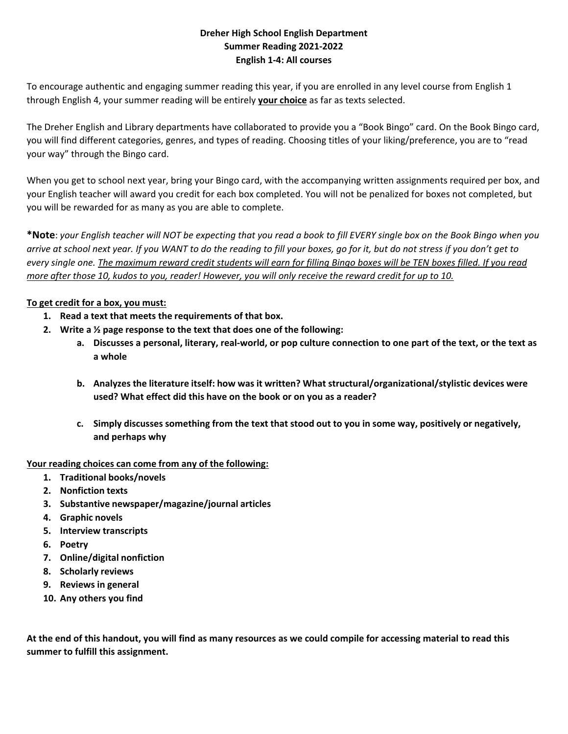# **Dreher High School English Department Summer Reading 2021‐2022 English 1‐4: All courses**

To encourage authentic and engaging summer reading this year, if you are enrolled in any level course from English 1 through English 4, your summer reading will be entirely **your choice** as far as texts selected.

The Dreher English and Library departments have collaborated to provide you a "Book Bingo" card. On the Book Bingo card, you will find different categories, genres, and types of reading. Choosing titles of your liking/preference, you are to "read your way" through the Bingo card.

When you get to school next year, bring your Bingo card, with the accompanying written assignments required per box, and your English teacher will award you credit for each box completed. You will not be penalized for boxes not completed, but you will be rewarded for as many as you are able to complete.

**\*Note**: *your English teacher will NOT be expecting that you read a book to fill EVERY single box on the Book Bingo when you arrive at school next year. If you WANT to do the reading to fill your boxes, go for it, but do not stress if you don't get to every single one. The maximum reward credit students will earn for filling Bingo boxes will be TEN boxes filled. If you read more after those 10, kudos to you, reader! However, you will only receive the reward credit for up to 10.* 

# **To get credit for a box, you must:**

- **1. Read a text that meets the requirements of that box.**
- **2. Write a ½ page response to the text that does one of the following:** 
	- **a. Discusses a personal, literary, real‐world, or pop culture connection to one part of the text, or the text as a whole**
	- **b. Analyzes the literature itself: how was it written? What structural/organizational/stylistic devices were used? What effect did this have on the book or on you as a reader?**
	- **c. Simply discusses something from the text that stood out to you in some way, positively or negatively, and perhaps why**

## **Your reading choices can come from any of the following:**

- **1. Traditional books/novels**
- **2. Nonfiction texts**
- **3. Substantive newspaper/magazine/journal articles**
- **4. Graphic novels**
- **5. Interview transcripts**
- **6. Poetry**
- **7. Online/digital nonfiction**
- **8. Scholarly reviews**
- **9. Reviews in general**
- **10. Any others you find**

**At the end of this handout, you will find as many resources as we could compile for accessing material to read this summer to fulfill this assignment.**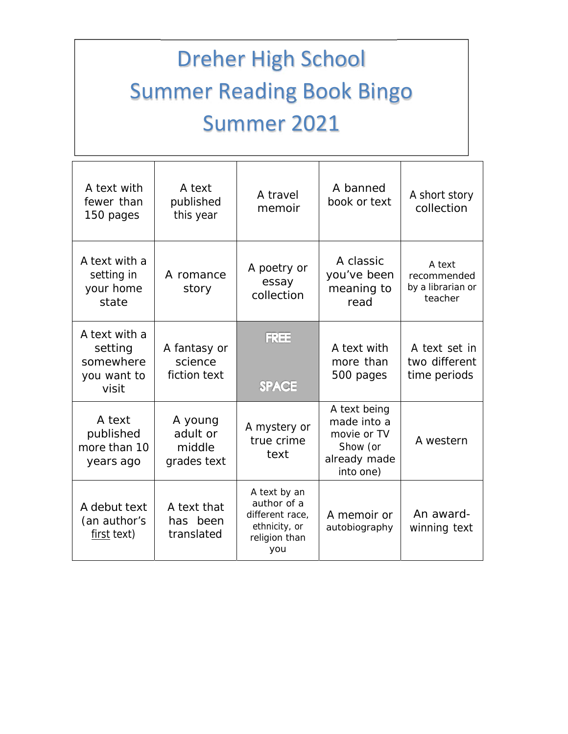# Dreher High School Summer Reading Book Bingo Summer 2021

| A text with<br>fewer than<br>150 pages                        | A text<br>published<br>this year             | A travel<br>memoir                                                                      | A banned<br>book or text                                                            | A short story<br>collection                           |
|---------------------------------------------------------------|----------------------------------------------|-----------------------------------------------------------------------------------------|-------------------------------------------------------------------------------------|-------------------------------------------------------|
| A text with a<br>setting in<br>your home<br>state             | A romance<br>story                           | A poetry or<br>essay<br>collection                                                      | A classic<br>you've been<br>meaning to<br>read                                      | A text<br>recommended<br>by a librarian or<br>teacher |
| A text with a<br>setting<br>somewhere<br>you want to<br>visit | A fantasy or<br>science<br>fiction text      | <b>FREE</b><br><b>SPACE</b>                                                             | A text with<br>more than<br>500 pages                                               | A text set in<br>two different<br>time periods        |
| A text<br>published<br>more than 10<br>years ago              | A young<br>adult or<br>middle<br>grades text | A mystery or<br>true crime<br>text                                                      | A text being<br>made into a<br>movie or TV<br>Show (or<br>already made<br>into one) | A western                                             |
| A debut text<br>(an author's<br>first text)                   | A text that<br>has been<br>translated        | A text by an<br>author of a<br>different race,<br>ethnicity, or<br>religion than<br>you | A memoir or<br>autobiography                                                        | An award-<br>winning text                             |